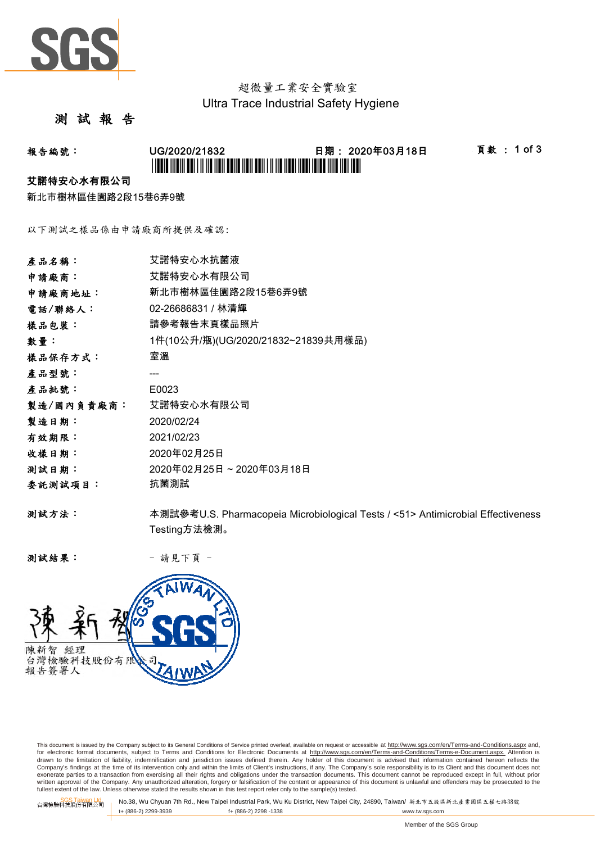

# 超微量工業安全實驗室 Ultra Trace Industrial Safety Hygiene

### 測 試 報 告

# 報告編號: UG/2020/21832 日期: 2020年03月18日 頁數 : 1 of 3 \*UG/2020/21832\*

#### 艾諾特安心水有限公司

新北市樹林區佳園路2段15巷6弄9號

以下測試之樣品係由申請廠商所提供及確認:

| 產品名稱:      | 艾諾特安心水抗菌液                                                                       |
|------------|---------------------------------------------------------------------------------|
| 申請廠商:      | 艾諾特安心水有限公司                                                                      |
| 申請廠商地址:    | 新北市樹林區佳園路2段15巷6弄9號                                                              |
| 電話/聯絡人:    | 02-26686831 / 林清輝                                                               |
| 樣品包裝:      | 請參考報告末頁樣品照片                                                                     |
| 數量:        | 1件(10公升/瓶)(UG/2020/21832~21839共用樣品)                                             |
| 樣品保存方式:    | 室溫                                                                              |
| 產品型號:      |                                                                                 |
| 產品批號:      | E0023                                                                           |
| 製造/國內負責廠商: | 艾諾特安心水有限公司                                                                      |
| 製造日期:      | 2020/02/24                                                                      |
| 有效期限:      | 2021/02/23                                                                      |
| 收樣日期:      | 2020年02月25日                                                                     |
| 测試日期:      | 2020年02月25日~2020年03月18日                                                         |
| 委託測試項目:    | 抗菌測試                                                                            |
| 测試方法:      | 本測試參考U.S. Pharmacopeia Microbiological Tests / <51> Antimicrobial Effectiveness |
|            | Testing方法檢測。                                                                    |

测試結果: - 請見下頁 -



This document is issued by the Company subject to its General Conditions of Service printed overleaf, available on request or accessible at http://www.sgs.com/en/Terms-and-Conditions.aspx and, for electronic format documents, subject to Terms and Conditions for Electronic Documents at <u>http://www.sqs.com/en/Terms-and-Conditions/Terms-e-Document.aspx.</u> Attention is<br>drawn to the limitation of liability, indemnific exonerate parties to a transaction from exercising all their rights and obligations under the transaction documents. This document cannot be reproduced except in full, without prior prior<br>written approval of the Company. A

SGS Taiwan Ltd. No.38, Wu Chyuan 7th Rd., New Taipei Industrial Park, Wu Ku District, New Taipei City, 24890, Taiwan/ 新北市五股區新北產業園區五權七路38號<br>| t+ (886-2) 2299-3939 f+ (886-2) 2298 -1338 www.tw. t+ (886-2) 2299-3939 f+ (886-2) 2298 -1338 www.tw.sgs.com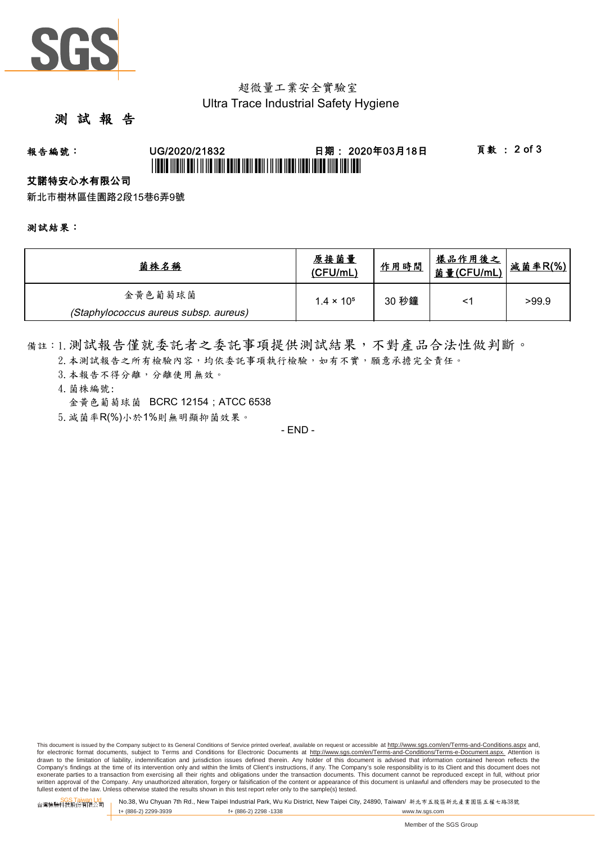

## 超微量工業安全實驗室 Ultra Trace Industrial Safety Hygiene

### 測 試 報 告

# 報告編號: UG/2020/21832 日期: 2020年03月18日 頁數 : 2 of 3 \*UG/2020/21832\*

### 艾諾特安心水有限公司

新北市樹林區佳園路2段15巷6弄9號

測試結果:

| 菌株名稱                                  | 原接菌量<br>(CFU/mL)    | 作用時間  | <u>樣品作用後之</u><br><u>菌量(CFU/mL)</u> | 减菌率R(%) |
|---------------------------------------|---------------------|-------|------------------------------------|---------|
| 金黄色葡萄球菌                               | $1.4 \times 10^{5}$ | 30 秒鐘 | <'                                 | >99.9   |
| (Staphylococcus aureus subsp. aureus) |                     |       |                                    |         |

備註:1.測試報告僅就委託者之委託事項提供測試結果,不對產品合法性做判斷。

- 2. 本測試報告之所有檢驗內容,均依委託事項執行檢驗,如有不實,願意承擔完全責任。
- 3. 本報告不得分離,分離使用無效。
- 4.菌株編號: 金黃色葡萄球菌 BCRC 12154 : ATCC 6538
- 5.減菌率R(%)小於1%則無明顯抑菌效果。

- END -

This document is issued by the Company subject to its General Conditions of Service printed overleaf, available on request or accessible at http://www.sqs.com/en/Terms-and-Conditions.aspx and, for electronic format documents, subject to Terms and Conditions for Electronic Documents at http://www.sgs.com/en/Terms-and-Conditions/Terms-e-Document.aspx. Attention is drawn to the limitation of liability, indemnification and jurisdiction issues defined therein. Any holder of this document is advised that information contained hereon reflects the<br>Company's findings at the time of its int exonerate parties to a transaction from exercising all their rights and obligations under the transaction documents. This document cannot be reproduced except in full, without prior written approval of the Company. Any unauthorized alteration, forgery or falsification of the content or appearance of this document is unlawful and offenders may be prosecuted to the<br>fullest extent of the law. Unless othe